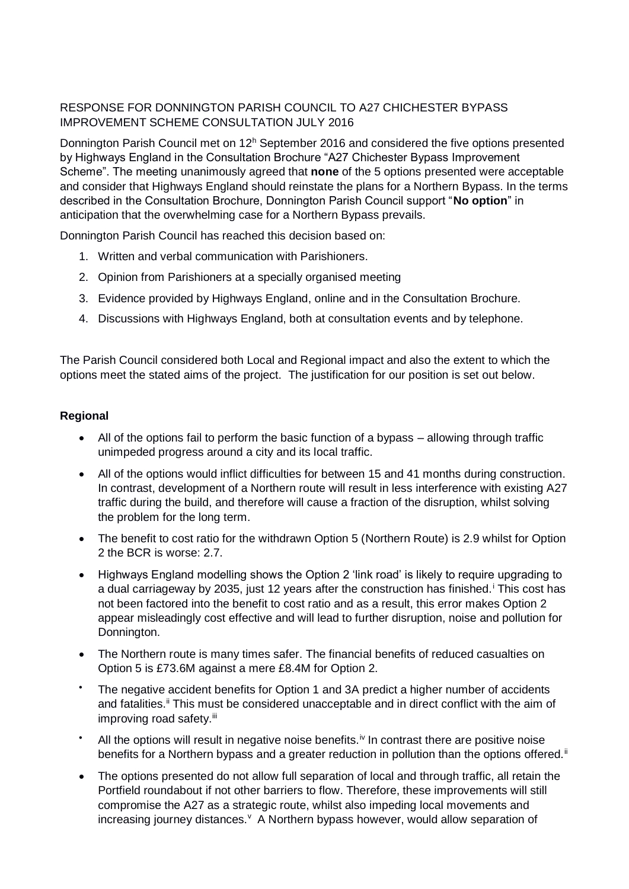## RESPONSE FOR DONNINGTON PARISH COUNCIL TO A27 CHICHESTER BYPASS IMPROVEMENT SCHEME CONSULTATION JULY 2016

Donnington Parish Council met on  $12<sup>h</sup>$  September 2016 and considered the five options presented by Highways England in the Consultation Brochure "A27 Chichester Bypass Improvement Scheme". The meeting unanimously agreed that **none** of the 5 options presented were acceptable and consider that Highways England should reinstate the plans for a Northern Bypass. In the terms described in the Consultation Brochure, Donnington Parish Council support "**No option**" in anticipation that the overwhelming case for a Northern Bypass prevails.

Donnington Parish Council has reached this decision based on:

- 1. Written and verbal communication with Parishioners.
- 2. Opinion from Parishioners at a specially organised meeting
- 3. Evidence provided by Highways England, online and in the Consultation Brochure.
- 4. Discussions with Highways England, both at consultation events and by telephone.

The Parish Council considered both Local and Regional impact and also the extent to which the options meet the stated aims of the project. The justification for our position is set out below.

## **Regional**

- All of the options fail to perform the basic function of a bypass allowing through traffic unimpeded progress around a city and its local traffic.
- All of the options would inflict difficulties for between 15 and 41 months during construction. In contrast, development of a Northern route will result in less interference with existing A27 traffic during the build, and therefore will cause a fraction of the disruption, whilst solving the problem for the long term.
- The benefit to cost ratio for the withdrawn Option 5 (Northern Route) is 2.9 whilst for Option 2 the BCR is worse: 2.7.
- Highways England modelling shows the Option 2 'link road' is likely to require upgrading to a dual carriageway by 2035, just 12 years after the construction has finished.<sup>i</sup> This cost has not been factored into the benefit to cost ratio and as a result, this error makes Option 2 appear misleadingly cost effective and will lead to further disruption, noise and pollution for Donnington.
- The Northern route is many times safer. The financial benefits of reduced casualties on Option 5 is £73.6M against a mere £8.4M for Option 2.
- The negative accident benefits for Option 1 and 3A predict a higher number of accidents and fatalities.<sup>ii</sup> This must be considered unacceptable and in direct conflict with the aim of improving road safety.<sup>iii</sup>
- All the options will result in negative noise benefits.<sup> $iv$ </sup> In contrast there are positive noise benefits for a Northern bypass and a greater reduction in pollution than the options offered.<sup>ii</sup>
- The options presented do not allow full separation of local and through traffic, all retain the Portfield roundabout if not other barriers to flow. Therefore, these improvements will still compromise the A27 as a strategic route, whilst also impeding local movements and increasing journey distances. <sup>v</sup> A Northern bypass however, would allow separation of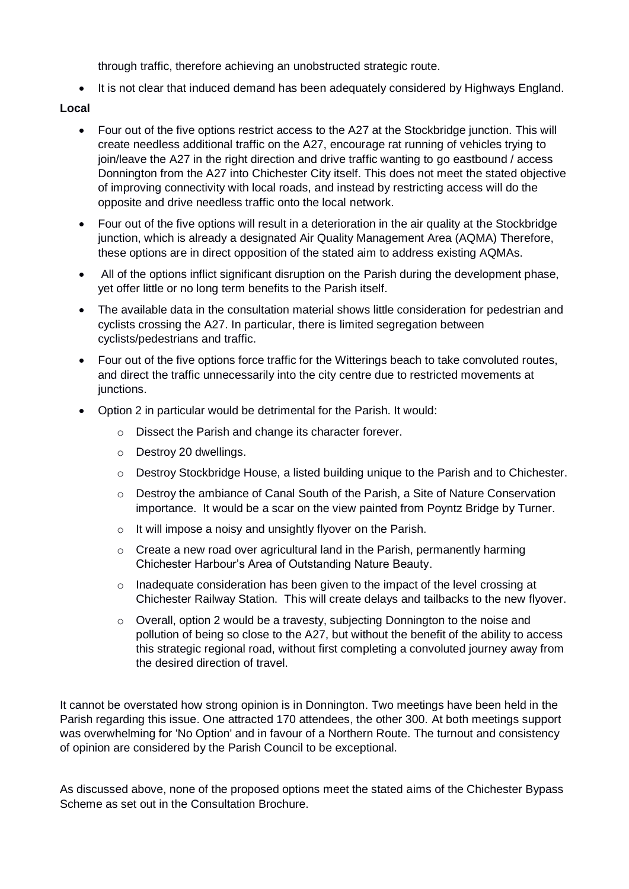through traffic, therefore achieving an unobstructed strategic route.

• It is not clear that induced demand has been adequately considered by Highways England.

## **Local**

- Four out of the five options restrict access to the A27 at the Stockbridge junction. This will create needless additional traffic on the A27, encourage rat running of vehicles trying to join/leave the A27 in the right direction and drive traffic wanting to go eastbound / access Donnington from the A27 into Chichester City itself. This does not meet the stated objective of improving connectivity with local roads, and instead by restricting access will do the opposite and drive needless traffic onto the local network.
- Four out of the five options will result in a deterioration in the air quality at the Stockbridge junction, which is already a designated Air Quality Management Area (AQMA) Therefore, these options are in direct opposition of the stated aim to address existing AQMAs.
- All of the options inflict significant disruption on the Parish during the development phase, yet offer little or no long term benefits to the Parish itself.
- The available data in the consultation material shows little consideration for pedestrian and cyclists crossing the A27. In particular, there is limited segregation between cyclists/pedestrians and traffic.
- Four out of the five options force traffic for the Witterings beach to take convoluted routes, and direct the traffic unnecessarily into the city centre due to restricted movements at junctions.
- Option 2 in particular would be detrimental for the Parish. It would:
	- o Dissect the Parish and change its character forever.
	- o Destroy 20 dwellings.
	- $\circ$  Destroy Stockbridge House, a listed building unique to the Parish and to Chichester.
	- $\circ$  Destroy the ambiance of Canal South of the Parish, a Site of Nature Conservation importance. It would be a scar on the view painted from Poyntz Bridge by Turner.
	- o It will impose a noisy and unsightly flyover on the Parish.
	- $\circ$  Create a new road over agricultural land in the Parish, permanently harming Chichester Harbour's Area of Outstanding Nature Beauty.
	- $\circ$  Inadequate consideration has been given to the impact of the level crossing at Chichester Railway Station. This will create delays and tailbacks to the new flyover.
	- $\circ$  Overall, option 2 would be a travesty, subjecting Donnington to the noise and pollution of being so close to the A27, but without the benefit of the ability to access this strategic regional road, without first completing a convoluted journey away from the desired direction of travel.

It cannot be overstated how strong opinion is in Donnington. Two meetings have been held in the Parish regarding this issue. One attracted 170 attendees, the other 300. At both meetings support was overwhelming for 'No Option' and in favour of a Northern Route. The turnout and consistency of opinion are considered by the Parish Council to be exceptional.

As discussed above, none of the proposed options meet the stated aims of the Chichester Bypass Scheme as set out in the Consultation Brochure.